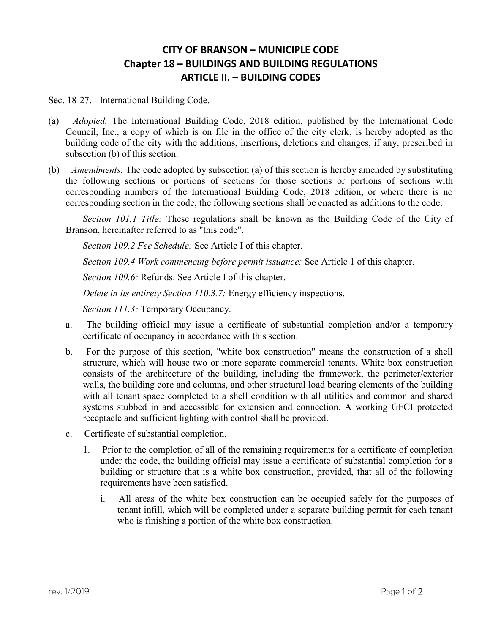## CITY OF BRANSON – MUNICIPLE CODE Chapter 18 – BUILDINGS AND BUILDING REGULATIONS ARTICLE II. – BUILDING CODES

Sec. 18-27. - International Building Code.

- (a) Adopted. The International Building Code, 2018 edition, published by the International Code Council, Inc., a copy of which is on file in the office of the city clerk, is hereby adopted as the building code of the city with the additions, insertions, deletions and changes, if any, prescribed in subsection (b) of this section.
- (b) Amendments. The code adopted by subsection (a) of this section is hereby amended by substituting the following sections or portions of sections for those sections or portions of sections with corresponding numbers of the International Building Code, 2018 edition, or where there is no corresponding section in the code, the following sections shall be enacted as additions to the code:

Section 101.1 Title: These regulations shall be known as the Building Code of the City of Branson, hereinafter referred to as "this code".

Section 109.2 Fee Schedule: See Article I of this chapter.

Section 109.4 Work commencing before permit issuance: See Article 1 of this chapter.

Section 109.6: Refunds. See Article I of this chapter.

Delete in its entirety Section 110.3.7: Energy efficiency inspections.

Section 111.3: Temporary Occupancy.

- a. The building official may issue a certificate of substantial completion and/or a temporary certificate of occupancy in accordance with this section.
- b. For the purpose of this section, "white box construction" means the construction of a shell structure, which will house two or more separate commercial tenants. White box construction consists of the architecture of the building, including the framework, the perimeter/exterior walls, the building core and columns, and other structural load bearing elements of the building with all tenant space completed to a shell condition with all utilities and common and shared systems stubbed in and accessible for extension and connection. A working GFCI protected receptacle and sufficient lighting with control shall be provided.
- c. Certificate of substantial completion.
	- 1. Prior to the completion of all of the remaining requirements for a certificate of completion under the code, the building official may issue a certificate of substantial completion for a building or structure that is a white box construction, provided, that all of the following requirements have been satisfied.
		- i. All areas of the white box construction can be occupied safely for the purposes of tenant infill, which will be completed under a separate building permit for each tenant who is finishing a portion of the white box construction.